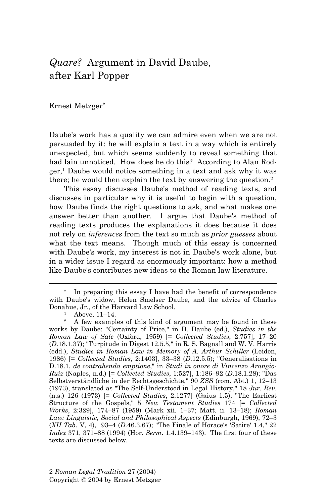# *Quare?* Argument in David Daube, after Karl Popper

Ernest Metzger\*

Daube's work has a quality we can admire even when we are not persuaded by it: he will explain a text in a way which is entirely unexpected, but which seems suddenly to reveal something that had lain unnoticed. How does he do this? According to Alan Rod $ger<sup>1</sup>$  Daube would notice something in a text and ask why it was there; he would then explain the text by answering the question.2

 This essay discusses Daube's method of reading texts, and discusses in particular why it is useful to begin with a question, how Daube finds the right questions to ask, and what makes one answer better than another. I argue that Daube's method of reading texts produces the explanations it does because it does not rely on *inferences* from the text so much as *prior guesses* about what the text means. Though much of this essay is concerned with Daube's work, my interest is not in Daube's work alone, but in a wider issue I regard as enormously important: how a method like Daube's contributes new ideas to the Roman law literature.

In preparing this essay I have had the benefit of correspondence with Daube's widow, Helen Smelser Daube, and the advice of Charles Donahue, Jr., of the Harvard Law School.<br><sup>1</sup> Above, 11–14.

<sup>2</sup> A few examples of this kind of argument may be found in these works by Daube: "Certainty of Price," in D. Daube (ed.), *Studies in the Roman Law of Sale* (Oxford, 1959) [= *Collected Studies*, 2:757], 17–20 (*D*.18.1.37); "Turpitude in Digest 12.5.5," in R. S. Bagnall and W. V. Harris (edd.), *Studies in Roman Law in Memory of A. Arthur Schiller* (Leiden, 1986) [= *Collected Studies*, 2:1403], 33–38 (*D*.12.5.5); "Generalisations in D.18.1, *de contrahenda emptione*," in *Studi in onore di Vincenzo Arangio-Ruiz* (Naples, n.d.) [= *Collected Studies*, 1:527], 1:186–92 (*D*.18.1.28); "Das Selbstverständliche in der Rechtsgeschichte," 90 *ZSS* (rom. Abt.) 1, 12–13 (1973), translated as "The Self-Understood in Legal History," 18 *Jur. Rev*. (n.s.) 126 (1973) [= *Collected Studies*, 2:1277] (Gaius 1.5); "The Earliest Structure of the Gospels," 5 *New Testament Studies* 174 [= *Collected Works*, 2:329], 174–87 (1959) (Mark xii. 1–37; Matt. ii. 13–18); *Roman Law: Linguistic, Social and Philosophical Aspects* (Edinburgh, 1969), 72–3 (*XII Tab*. V, 4), 93–4 (*D*.46.3.67); "The Finale of Horace's 'Satire' 1.4," 22 *Index* 371, 371–88 (1994) (Hor. *Serm*. 1.4.139–143). The first four of these texts are discussed below.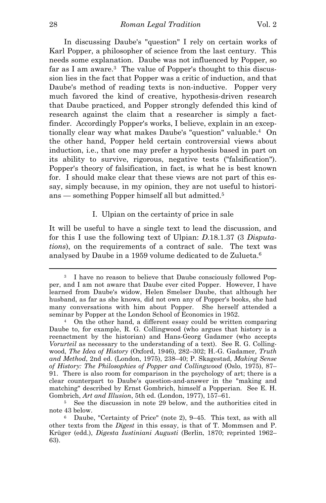In discussing Daube's "question" I rely on certain works of Karl Popper, a philosopher of science from the last century. This needs some explanation. Daube was not influenced by Popper, so far as I am aware.3 The value of Popper's thought to this discussion lies in the fact that Popper was a critic of induction, and that Daube's method of reading texts is non-inductive. Popper very much favored the kind of creative, hypothesis-driven research that Daube practiced, and Popper strongly defended this kind of research against the claim that a researcher is simply a factfinder. Accordingly Popper's works, I believe, explain in an exceptionally clear way what makes Daube's "question" valuable.4 On the other hand, Popper held certain controversial views about induction, i.e., that one may prefer a hypothesis based in part on its ability to survive, rigorous, negative tests ("falsification"). Popper's theory of falsification, in fact, is what he is best known for. I should make clear that these views are not part of this essay, simply because, in my opinion, they are not useful to historians — something Popper himself all but admitted.5

# I. Ulpian on the certainty of price in sale

It will be useful to have a single text to lead the discussion, and for this I use the following text of Ulpian: *D*.18.1.37 (3 *Disputations*), on the requirements of a contract of sale. The text was analysed by Daube in a 1959 volume dedicated to de Zulueta.6

<sup>3</sup> I have no reason to believe that Daube consciously followed Popper, and I am not aware that Daube ever cited Popper. However, I have learned from Daube's widow, Helen Smelser Daube, that although her husband, as far as she knows, did not own any of Popper's books, she had many conversations with him about Popper. She herself attended a seminar by Popper at the London School of Economics in 1952.<br>4 On the other hand, a different essay could be written comparing

Daube to, for example, R. G. Collingwood (who argues that history is a reenactment by the historian) and Hans-Georg Gadamer (who accepts *Vorurteil* as necessary to the understanding of a text). See R. G. Collingwood, *The Idea of History* (Oxford, 1946), 282–302; H.-G. Gadamer, *Truth and Method*, 2nd ed. (London, 1975), 238–40; P. Skagestad, *Making Sense of History: The Philosophies of Popper and Collingwood* (Oslo, 1975), 87– 91. There is also room for comparison in the psychology of art; there is a clear counterpart to Daube's question-and-answer in the "making and matching" described by Ernst Gombrich, himself a Popperian. See E. H. Gombrich, *Art and Illusion*, 5th ed. (London, 1977), 157–61.<br><sup>5</sup> See the discussion in note 29 below, and the authorities cited in

note 43 below.<br><sup>6</sup> Daube, "Certainty of Price" (note 2), 9–45. This text, as with all

other texts from the *Digest* in this essay, is that of T. Mommsen and P. Krüger (edd.), *Digesta Iustiniani Augusti* (Berlin, 1870; reprinted 1962– 63).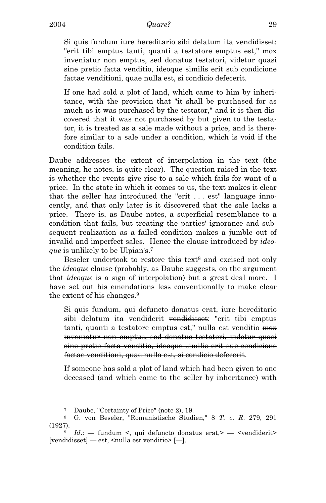Si quis fundum iure hereditario sibi delatum ita vendidisset: "erit tibi emptus tanti, quanti a testatore emptus est," mox inveniatur non emptus, sed donatus testatori, videtur quasi sine pretio facta venditio, ideoque similis erit sub condicione factae venditioni, quae nulla est, si condicio defecerit.

If one had sold a plot of land, which came to him by inheritance, with the provision that "it shall be purchased for as much as it was purchased by the testator," and it is then discovered that it was not purchased by but given to the testator, it is treated as a sale made without a price, and is therefore similar to a sale under a condition, which is void if the condition fails.

Daube addresses the extent of interpolation in the text (the meaning, he notes, is quite clear). The question raised in the text is whether the events give rise to a sale which fails for want of a price. In the state in which it comes to us, the text makes it clear that the seller has introduced the "erit . . . est" language innocently, and that only later is it discovered that the sale lacks a price. There is, as Daube notes, a superficial resemblance to a condition that fails, but treating the parties' ignorance and subsequent realization as a failed condition makes a jumble out of invalid and imperfect sales. Hence the clause introduced by *ideoque* is unlikely to be Ulpian's.7

Beseler undertook to restore this text<sup>8</sup> and excised not only the *ideoque* clause (probably, as Daube suggests, on the argument that *ideoque* is a sign of interpolation) but a great deal more. I have set out his emendations less conventionally to make clear the extent of his changes.9

Si quis fundum, qui defuncto donatus erat, iure hereditario sibi delatum ita vendiderit vendidisset: "erit tibi emptus tanti, quanti a testatore emptus est," nulla est venditio mox inveniatur non emptus, sed donatus testatori, videtur quasi sine pretio facta venditio, ideoque similis erit sub condicione factae venditioni, quae nulla est, si condicio defecerit.

If someone has sold a plot of land which had been given to one deceased (and which came to the seller by inheritance) with

<sup>7</sup> Daube, "Certainty of Price" (note 2), 19.

<sup>8</sup> G. von Beseler, "Romanistische Studien," 8 *T. v. R*. 279, 291 (1927).<br><sup>9</sup> *Id.*: — fundum <, qui defuncto donatus erat, > — <vendiderit>

<sup>[</sup>vendidisset] — est, <nulla est venditio> [—].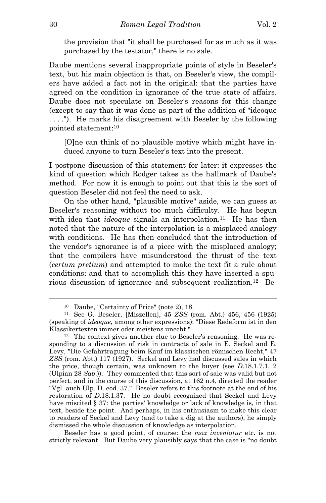the provision that "it shall be purchased for as much as it was purchased by the testator," there is no sale.

Daube mentions several inappropriate points of style in Beseler's text, but his main objection is that, on Beseler's view, the compilers have added a fact not in the original: that the parties have agreed on the condition in ignorance of the true state of affairs. Daube does not speculate on Beseler's reasons for this change (except to say that it was done as part of the addition of "ideoque . . . ."). He marks his disagreement with Beseler by the following pointed statement:10

[O]ne can think of no plausible motive which might have induced anyone to turn Beseler's text into the present.

I postpone discussion of this statement for later: it expresses the kind of question which Rodger takes as the hallmark of Daube's method. For now it is enough to point out that this is the sort of question Beseler did not feel the need to ask.

On the other hand, "plausible motive" aside, we can guess at Beseler's reasoning without too much difficulty. He has begun with idea that *ideoque* signals an interpolation.<sup>11</sup> He has then noted that the nature of the interpolation is a misplaced analogy with conditions. He has then concluded that the introduction of the vendor's ignorance is of a piece with the misplaced analogy; that the compilers have misunderstood the thrust of the text (*certum pretium*) and attempted to make the text fit a rule about conditions; and that to accomplish this they have inserted a spurious discussion of ignorance and subsequent realization.12 Be-

Beseler has a good point, of course: the *mox inveniatur* etc. is not strictly relevant. But Daube very plausibly says that the case is "no doubt

<sup>10</sup> Daube, "Certainty of Price" (note 2), 18.

<sup>11</sup> See G. Beseler, [Miszellen], 45 *ZSS* (rom. Abt.) 456, 456 (1925) (speaking of *ideoque*, among other expressions): "Diese Redeform ist in den Klassikertexten immer oder meistens unecht."<br><sup>12</sup> The context gives another clue to Beseler's reasoning. He was re-

sponding to a discussion of risk in contracts of sale in E. Seckel and E. Levy, "Die Gefahrtragung beim Kauf im klassischen römischen Recht," 47 *ZSS* (rom. Abt.) 117 (1927). Seckel and Levy had discussed sales in which the price, though certain, was unknown to the buyer (see *D*.18.1.7.1, 2 (Ulpian 28 *Sab*.)). They commented that this sort of sale was valid but not perfect, and in the course of this discussion, at 162 n.4, directed the reader "Vgl. auch Ulp. D. eod. 37." Beseler refers to this footnote at the end of his restoration of *D*.18.1.37. He no doubt recognized that Seckel and Levy have miscited § 37: the parties' knowledge or lack of knowledge is, in that text, beside the point. And perhaps, in his enthusiasm to make this clear to readers of Seckel and Levy (and to take a dig at the authors), he simply dismissed the whole discussion of knowledge as interpolation.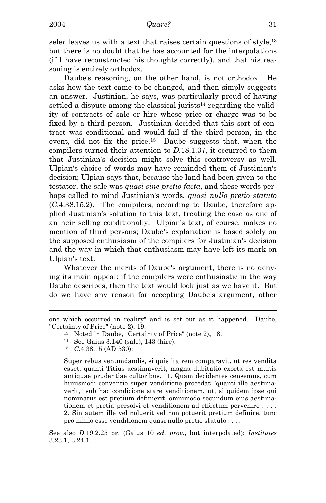seler leaves us with a text that raises certain questions of style,<sup>13</sup> but there is no doubt that he has accounted for the interpolations (if I have reconstructed his thoughts correctly), and that his reasoning is entirely orthodox.

 Daube's reasoning, on the other hand, is not orthodox. He asks how the text came to be changed, and then simply suggests an answer. Justinian, he says, was particularly proud of having settled a dispute among the classical jurists<sup>14</sup> regarding the validity of contracts of sale or hire whose price or charge was to be fixed by a third person. Justinian decided that this sort of contract was conditional and would fail if the third person, in the event, did not fix the price.<sup>15</sup> Daube suggests that, when the compilers turned their attention to *D*.18.1.37, it occurred to them that Justinian's decision might solve this controversy as well. Ulpian's choice of words may have reminded them of Justinian's decision; Ulpian says that, because the land had been given to the testator, the sale was *quasi sine pretio facta*, and these words perhaps called to mind Justinian's words, *quasi nullo pretio statuto* (*C*.4.38.15.2). The compilers, according to Daube, therefore applied Justinian's solution to this text, treating the case as one of an heir selling conditionally. Ulpian's text, of course, makes no mention of third persons; Daube's explanation is based solely on the supposed enthusiasm of the compilers for Justinian's decision and the way in which that enthusiasm may have left its mark on Ulpian's text.

 Whatever the merits of Daube's argument, there is no denying its main appeal: if the compilers were enthusiastic in the way Daube describes, then the text would look just as we have it. But do we have any reason for accepting Daube's argument, other

i

Super rebus venumdandis, si quis ita rem comparavit, ut res vendita esset, quanti Titius aestimaverit, magna dubitatio exorta est multis antiquae prudentiae cultoribus. 1. Quam decidentes censemus, cum huiusmodi conventio super venditione procedat "quanti ille aestimaverit," sub hac condicione stare venditionem, ut, si quidem ipse qui nominatus est pretium definierit, omnimodo secundum eius aestimationem et pretia persolvi et venditionem ad effectum pervenire . . . . 2. Sin autem ille vel noluerit vel non potuerit pretium definire, tunc pro nihilo esse venditionem quasi nullo pretio statuto . . . .

See also *D*.19.2.25 pr. (Gaius 10 *ed. prov*., but interpolated); *Institutes* 3.23.1, 3.24.1.

one which occurred in reality" and is set out as it happened. Daube, "Certainty of Price" (note 2), 19. 13 Noted in Daube, "Certainty of Price" (note 2), 18.

<sup>14</sup> See Gaius 3.140 (sale), 143 (hire).

<sup>15</sup> *C*.4.38.15 (AD 530):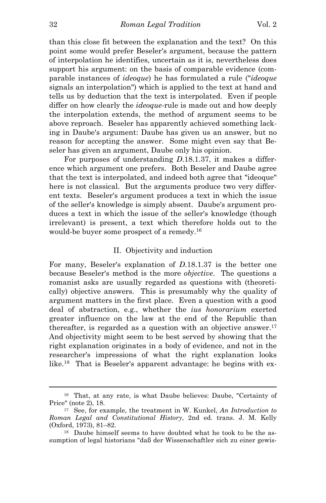than this close fit between the explanation and the text? On this point some would prefer Beseler's argument, because the pattern of interpolation he identifies, uncertain as it is, nevertheless does support his argument: on the basis of comparable evidence (comparable instances of *ideoque*) he has formulated a rule ("*ideoque* signals an interpolation") which is applied to the text at hand and tells us by deduction that the text is interpolated. Even if people differ on how clearly the *ideoque*-rule is made out and how deeply the interpolation extends, the method of argument seems to be above reproach. Beseler has apparently achieved something lacking in Daube's argument: Daube has given us an answer, but no reason for accepting the answer. Some might even say that Beseler has given an argument, Daube only his opinion.

 For purposes of understanding *D*.18.1.37, it makes a difference which argument one prefers. Both Beseler and Daube agree that the text is interpolated, and indeed both agree that "ideoque" here is not classical. But the arguments produce two very different texts. Beseler's argument produces a text in which the issue of the seller's knowledge is simply absent. Daube's argument produces a text in which the issue of the seller's knowledge (though irrelevant) is present, a text which therefore holds out to the would-be buyer some prospect of a remedy.16

# II. Objectivity and induction

For many, Beseler's explanation of *D*.18.1.37 is the better one because Beseler's method is the more *objective*. The questions a romanist asks are usually regarded as questions with (theoretically) objective answers. This is presumably why the quality of argument matters in the first place. Even a question with a good deal of abstraction, e.g., whether the *ius honorarium* exerted greater influence on the law at the end of the Republic than thereafter, is regarded as a question with an objective answer.<sup>17</sup> And objectivity might seem to be best served by showing that the right explanation originates in a body of evidence, and not in the researcher's impressions of what the right explanation looks like.18 That is Beseler's apparent advantage: he begins with ex-

<sup>16</sup> That, at any rate, is what Daube believes: Daube, "Certainty of Price" (note 2), 18.<br><sup>17</sup> See, for example, the treatment in W. Kunkel, *An Introduction to* 

*Roman Legal and Constitutional History*, 2nd ed. trans. J. M. Kelly (Oxford, 1973), 81–82. <sup>18</sup> Daube himself seems to have doubted what he took to be the as-

sumption of legal historians "daß der Wissenschaftler sich zu einer gewis-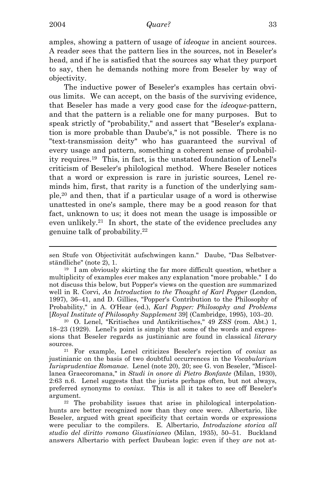i

amples, showing a pattern of usage of *ideoque* in ancient sources. A reader sees that the pattern lies in the sources, not in Beseler's head, and if he is satisfied that the sources say what they purport to say, then he demands nothing more from Beseler by way of objectivity.

The inductive power of Beseler's examples has certain obvious limits. We can accept, on the basis of the surviving evidence, that Beseler has made a very good case for the *ideoque*-pattern, and that the pattern is a reliable one for many purposes. But to speak strictly of "probability," and assert that "Beseler's explanation is more probable than Daube's," is not possible. There is no "text-transmission deity" who has guaranteed the survival of every usage and pattern, something a coherent sense of probability requires.19 This, in fact, is the unstated foundation of Lenel's criticism of Beseler's philological method. Where Beseler notices that a word or expression is rare in juristic sources, Lenel reminds him, first, that rarity is a function of the underlying sample,20 and then, that if a particular usage of a word is otherwise unattested in one's sample, there may be a good reason for that fact, unknown to us; it does not mean the usage is impossible or even unlikely.21 In short, the state of the evidence precludes any genuine talk of probability.22

multiplicity of examples *ever* makes any explanation "more probable." I do not discuss this below, but Popper's views on the question are summarized well in R. Corvi, *An Introduction to the Thought of Karl Popper* (London, 1997), 36–41, and D. Gillies, "Popper's Contribution to the Philosophy of Probability," in A. O'Hear (ed.), *Karl Popper: Philosophy and Problems* [*Royal Institute of Philosophy Supplement* 39] (Cambridge, 1995), 103–20. 20 O. Lenel, "Kritisches und Antikritisches," 49 *ZSS* (rom. Abt.) 1,

18–23 (1929). Lenel's point is simply that some of the words and expressions that Beseler regards as justinianic are found in classical *literary* sources. 21 For example, Lenel criticizes Beseler's rejection of *coniux* as

justinianic on the basis of two doubtful occurrences in the *Vocabularium Iurisprudentiae Romanae*. Lenel (note 20), 20; see G. von Beseler, "Miscellanea Graecoromana," in *Studi in onore di Pietro Bonfante* (Milan, 1930), 2:63 n.6. Lenel suggests that the jurists perhaps often, but not always, preferred synonyms to *coniux*. This is all it takes to see off Beseler's argument.<br><sup>22</sup> The probability issues that arise in philological interpolation-

hunts are better recognized now than they once were. Albertario, like Beseler, argued with great specificity that certain words or expressions were peculiar to the compilers. E. Albertario, *Introduzione storica all studio del diritto romano Giustinianeo* (Milan, 1935), 50–51. Buckland answers Albertario with perfect Daubean logic: even if they *are* not at-

sen Stufe von Objectivität aufschwingen kann." Daube, "Das Selbstverständliche" (note 2), 1.  $19 \text{ I am obviously skirting the far more difficult question, whether a}$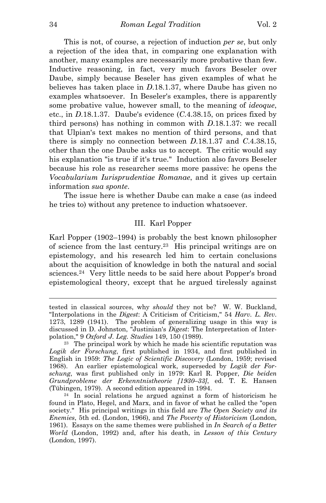This is not, of course, a rejection of induction *per se*, but only a rejection of the idea that, in comparing one explanation with another, many examples are necessarily more probative than few. Inductive reasoning, in fact, very much favors Beseler over Daube, simply because Beseler has given examples of what he believes has taken place in *D*.18.1.37, where Daube has given no examples whatsoever. In Beseler's examples, there is apparently some probative value, however small, to the meaning of *ideoque*, etc., in *D*.18.1.37. Daube's evidence (*C*.4.38.15, on prices fixed by third persons) has nothing in common with *D*.18.1.37: we recall that Ulpian's text makes no mention of third persons, and that there is simply no connection between *D*.18.1.37 and *C*.4.38.15, other than the one Daube asks us to accept. The critic would say his explanation "is true if it's true." Induction also favors Beseler because his role as researcher seems more passive: he opens the *Vocabularium Iurisprudentiae Romanae*, and it gives up certain information *sua sponte*.

The issue here is whether Daube can make a case (as indeed he tries to) without any pretence to induction whatsoever.

## III. Karl Popper

Karl Popper (1902–1994) is probably the best known philosopher of science from the last century.23 His principal writings are on epistemology, and his research led him to certain conclusions about the acquisition of knowledge in both the natural and social sciences.24 Very little needs to be said here about Popper's broad epistemological theory, except that he argued tirelessly against

tested in classical sources, why *should* they not be? W. W. Buckland, "Interpolations in the *Digest*: A Criticism of Criticism," 54 *Harv. L. Rev*. 1273, 1289 (1941). The problem of generalizing usage in this way is discussed in D. Johnston, "Justinian's *Digest*: The Interpretation of Interpolation," 9 *Oxford J. Leg. Studies* 149, 150 (1989). 23 The principal work by which he made his scientific reputation was

*Logik der Forschung*, first published in 1934, and first published in English in 1959: *The Logic of Scientific Discovery* (London, 1959; revised 1968). An earlier epistemological work, superseded by *Logik der Forschung*, was first published only in 1979: Karl R. Popper, *Die beiden Grundprobleme der Erkenntnistheorie [1930–33]*, ed. T. E. Hansen (Tübingen, 1979). A second edition appeared in 1994.<br><sup>24</sup> In social relations he argued against a form of historicism he

found in Plato, Hegel, and Marx, and in favor of what he called the "open society." His principal writings in this field are *The Open Society and its Enemies*, 5th ed. (London, 1966), and *The Poverty of Historicism* (London, 1961). Essays on the same themes were published in *In Search of a Better World* (London, 1992) and, after his death, in *Lesson of this Century* (London, 1997).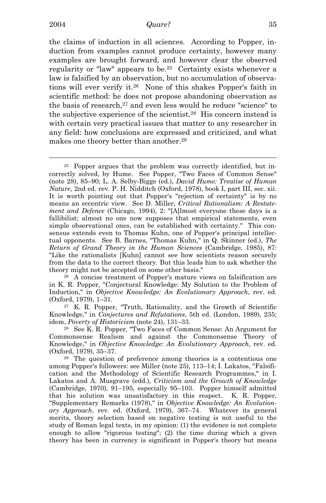i

# 2004 *Quare?* 35

the claims of induction in all sciences. According to Popper, induction from examples cannot produce certainty, however many examples are brought forward, and however clear the observed regularity or "law" appears to be.25 Certainty exists whenever a law is falsified by an observation, but no accumulation of observations will ever verify it.26 None of this shakes Popper's faith in scientific method: he does not propose abandoning observation as the basis of research,<sup>27</sup> and even less would he reduce "science" to the subjective experience of the scientist.28 His concern instead is with certain very practical issues that matter to any researcher in any field: how conclusions are expressed and criticized, and what makes one theory better than another.<sup>29</sup>

25 Popper argues that the problem was correctly identified, but incorrectly solved, by Hume. See Popper, "Two Faces of Common Sense" (note 28), 85–90; L. A. Selby-Bigge (ed.), *David Hume: Treatise of Human Nature*, 2nd ed. rev. P. H. Nidditch (Oxford, 1978), book I, part III, sec. xii. It is worth pointing out that Popper's "rejection of certainty" is by no means an eccentric view. See D. Miller, *Critical Rationalism: A Restatement and Defence* (Chicago, 1994), 2: "[A]lmost everyone these days is a fallibilist; almost no one now supposes that empirical statements, even simple observational ones, can be established with certainty." This consensus extends even to Thomas Kuhn, one of Popper's principal intellectual opponents. See B. Barnes, "Thomas Kuhn," in Q. Skinner (ed.), *The Return of Grand Theory in the Human Sciences* (Cambridge, 1985), 87: "Like the rationalists [Kuhn] cannot see how scientists reason securely from the data to the correct theory. But this leads him to ask whether the theory might not be accepted on some other basis."<br><sup>26</sup> A concise treatment of Popper's mature views on falsification are

in K. R. Popper, "Conjectural Knowledge: My Solution to the Problem of Induction," in *Objective Knowledge: An Evolutionary Approach*, rev. ed. (Oxford, 1979), 1–31. 27 K. R. Popper, "Truth, Rationality, and the Growth of Scientific

Knowledge," in *Conjectures and Refutations*, 5th ed. (London, 1989), 235; idem, *Poverty of Historicism* (note 24), 131–33.<br><sup>28</sup> See K. R. Popper, "Two Faces of Common Sense: An Argument for

Commonsense Realism and against the Commonsense Theory of Knowledge," in *Objective Knowledge: An Evolutionary Approach*, rev. ed.

(Oxford, 1979), 35–37. <sup>29</sup> The question of preference among theories is a contentious one among Popper's followers: see Miller (note 25), 113–14; I. Lakatos, "Falsification and the Methodology of Scientific Research Programmes," in I. Lakatos and A. Musgrave (edd.), *Criticism and the Growth of Knowledge* (Cambridge, 1970), 91–195, especially 95–103. Popper himself admitted that his solution was unsatisfactory in this respect. K. R. Popper, "Supplementary Remarks (1978)," in *Objective Knowledge: An Evolutionary Approach*, rev. ed. (Oxford, 1979), 367–74. Whatever its general merits, theory selection based on negative testing is not useful to the study of Roman legal texts, in my opinion: (1) the evidence is not complete enough to allow "rigorous testing"; (2) the time during which a given theory has been in currency is significant in Popper's theory but means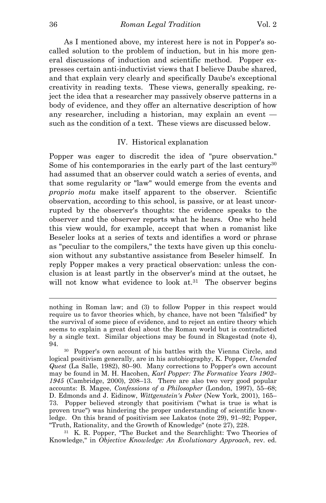As I mentioned above, my interest here is not in Popper's socalled solution to the problem of induction, but in his more general discussions of induction and scientific method. Popper expresses certain anti-inductivist views that I believe Daube shared, and that explain very clearly and specifically Daube's exceptional creativity in reading texts. These views, generally speaking, reject the idea that a researcher may passively observe patterns in a body of evidence, and they offer an alternative description of how any researcher, including a historian, may explain an event such as the condition of a text. These views are discussed below.

# IV. Historical explanation

Popper was eager to discredit the idea of "pure observation." Some of his contemporaries in the early part of the last century<sup>30</sup> had assumed that an observer could watch a series of events, and that some regularity or "law" would emerge from the events and *proprio motu* make itself apparent to the observer. Scientific observation, according to this school, is passive, or at least uncorrupted by the observer's thoughts: the evidence speaks to the observer and the observer reports what he hears. One who held this view would, for example, accept that when a romanist like Beseler looks at a series of texts and identifies a word or phrase as "peculiar to the compilers," the texts have given up this conclusion without any substantive assistance from Beseler himself. In reply Popper makes a very practical observation: unless the conclusion is at least partly in the observer's mind at the outset, he will not know what evidence to look at.<sup>31</sup> The observer begins

Knowledge," in *Objective Knowledge: An Evolutionary Approach*, rev. ed.

nothing in Roman law; and (3) to follow Popper in this respect would require us to favor theories which, by chance, have not been "falsified" by the survival of some piece of evidence, and to reject an entire theory which seems to explain a great deal about the Roman world but is contradicted by a single text. Similar objections may be found in Skagestad (note 4),

<sup>94. 30</sup> Popper's own account of his battles with the Vienna Circle, and logical positivism generally, are in his autobiography, K. Popper, *Unended Quest* (La Salle, 1982), 80–90. Many corrections to Popper's own account may be found in M. H. Hacohen, *Karl Popper: The Formative Years 1902– 1945* (Cambridge, 2000), 208–13. There are also two very good popular accounts: B. Magee, *Confessions of a Philosopher* (London, 1997), 55–68; D. Edmonds and J. Eidinow, *Wittgenstein's Poker* (New York, 2001), 165– 73. Popper believed strongly that positivism ("what is true is what is proven true") was hindering the proper understanding of scientific knowledge. On this brand of positivism see Lakatos (note 29), 91–92; Popper, "Truth, Rationality, and the Growth of Knowledge" (note 27), 228. 31 K. R. Popper, "The Bucket and the Searchlight: Two Theories of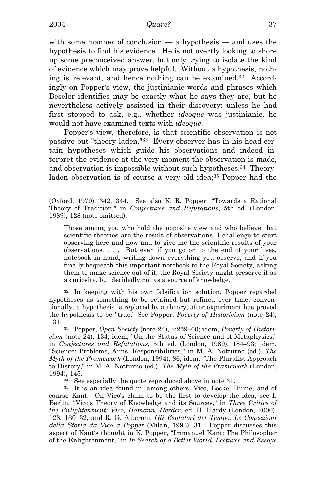i

with some manner of conclusion — a hypothesis — and uses the hypothesis to find his evidence. He is not overtly looking to shore up some preconceived answer, but only trying to isolate the kind of evidence which may prove helpful. Without a hypothesis, nothing is relevant, and hence nothing can be examined.32 Accordingly on Popper's view, the justinianic words and phrases which Beseler identifies may be exactly what he says they are, but he nevertheless actively assisted in their discovery: unless he had first stopped to ask, e.g., whether *ideoque* was justinianic, he would not have examined texts with *ideoque*.

Popper's view, therefore, is that scientific observation is not passive but "theory-laden."33 Every observer has in his head certain hypotheses which guide his observations and indeed interpret the evidence at the very moment the observation is made, and observation is impossible without such hypotheses.34 Theoryladen observation is of course a very old idea;<sup>35</sup> Popper had the

Those among you who hold the opposite view and who believe that scientific theories are the result of observations, I challenge to start observing here and now and to give me the scientific results of your observations. . . . But even if you go on to the end of your lives, notebook in hand, writing down everything you observe, and if you finally bequeath this important notebook to the Royal Society, asking them to make science out of it, the Royal Society might preserve it as a curiosity, but decidedly not as a source of knowledge.

32 In keeping with his own falsification solution, Popper regarded hypotheses as something to be retained but refined over time; conventionally, a hypothesis is replaced by a theory, after experiment has proved the hypothesis to be "true." See Popper, *Poverty of Historicism* (note 24), 131. 33 Popper, *Open Society* (note 24), 2:259–60; idem, *Poverty of Histori-*

*cism* (note 24), 134; idem, "On the Status of Science and of Metaphysics," in *Conjectures and Refutations*, 5th ed. (London, 1989), 184–93; idem, "Science: Problems, Aims, Responsibilities," in M. A. Notturno (ed.), *The Myth of the Framework* (London, 1994), 86; idem, "The Pluralist Approach to History," in M. A. Notturno (ed.), *The Myth of the Framework* (London, 1994), 145.<br><sup>34</sup> See especially the quote reproduced above in note 31.

35 It is an idea found in, among others, Vico, Locke, Hume, and of course Kant. On Vico's claim to be the first to develop the idea, see I. Berlin, "Vico's Theory of Knowledge and its Sources," in *Three Critics of the Enlightenment: Vico, Hamann, Herder*, ed. H. Hardy (London, 2000), 128, 130–32, and R. G. Alberoni, *Gli Esplatori del Tempo: Le Concezioni della Storia da Vico a Popper* (Milan, 1993), 31. Popper discusses this aspect of Kant's thought in K. Popper, "Immanuel Kant: The Philosopher of the Enlightenment," in *In Search of a Better World: Lectures and Essays* 

<sup>(</sup>Oxford, 1979), 342, 344. See also K. R. Popper, "Towards a Rational Theory of Tradition," in *Conjectures and Refutations*, 5th ed. (London, 1989), 128 (note omitted):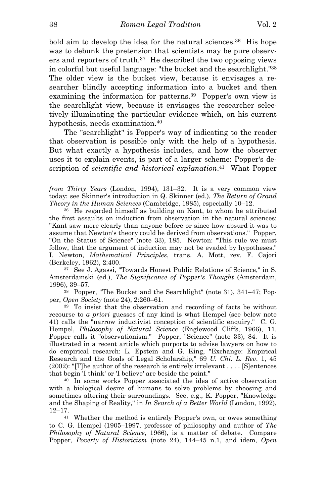bold aim to develop the idea for the natural sciences.<sup>36</sup> His hope was to debunk the pretension that scientists may be pure observers and reporters of truth.37 He described the two opposing views in colorful but useful language: "the bucket and the searchlight."38 The older view is the bucket view, because it envisages a researcher blindly accepting information into a bucket and then examining the information for patterns.39 Popper's own view is the searchlight view, because it envisages the researcher selectively illuminating the particular evidence which, on his current hypothesis, needs examination.40

The "searchlight" is Popper's way of indicating to the reader that observation is possible only with the help of a hypothesis. But what exactly a hypothesis includes, and how the observer uses it to explain events, is part of a larger scheme: Popper's description of *scientific and historical explanation*.41 What Popper

Amsterdamski (ed.), *The Significance of Popper's Thought* (Amsterdam, 1996), 39–57. 38 Popper, "The Bucket and the Searchlight" (note 31), 341–47; Pop-

per, *Open Society* (note 24), 2:260–61.<br><sup>39</sup> To insist that the observation and recording of facts be without

recourse to *a priori* guesses of any kind is what Hempel (see below note 41) calls the "narrow inductivist conception of scientific enquiry." C. G. Hempel, *Philosophy of Natural Science* (Englewood Cliffs, 1966), 11. Popper calls it "observationism." Popper, "Science" (note 33), 84. It is illustrated in a recent article which purports to advise lawyers on how to do empirical research: L. Epstein and G. King, "Exchange: Empirical Research and the Goals of Legal Scholarship," 69 *U. Chi. L. Rev*. 1, 45 (2002): "[T]he author of the research is entirely irrelevant . . . . [S]entences that begin 'I think' or 'I believe' are beside the point." 40 In some works Popper associated the idea of active observation

with a biological desire of humans to solve problems by choosing and sometimes altering their surroundings. See, e.g., K. Popper, "Knowledge and the Shaping of Reality," in *In Search of a Better World* (London, 1992),  $12-17$ .<br><sup>41</sup> Whether the method is entirely Popper's own, or owes something

to C. G. Hempel (1905–1997, professor of philosophy and author of *The Philosophy of Natural Science*, 1966), is a matter of debate. Compare Popper, *Poverty of Historicism* (note 24), 144–45 n.1, and idem, *Open* 

*from Thirty Years* (London, 1994), 131–32. It is a very common view today: see Skinner's introduction in Q. Skinner (ed.), *The Return of Grand* 

*Theory in the Human Sciences* (Cambridge, 1985), especially 10–12.<br><sup>36</sup> He regarded himself as building on Kant, to whom he attributed the first assaults on induction from observation in the natural sciences: "Kant saw more clearly than anyone before or since how absurd it was to assume that Newton's theory could be derived from observations." Popper, "On the Status of Science" (note 33), 185. Newton: "This rule we must follow, that the argument of induction may not be evaded by hypotheses." I. Newton, *Mathematical Principles*, trans. A. Mott, rev. F. Cajori (Berkeley, 1962), 2:400. 37 See J. Agassi, "Towards Honest Public Relations of Science," in S.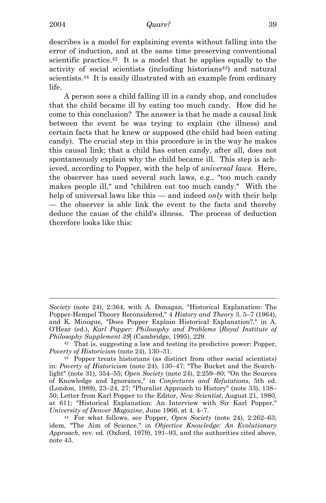i

describes is a model for explaining events without falling into the error of induction, and at the same time preserving conventional scientific practice.<sup>42</sup> It is a model that he applies equally to the activity of social scientists (including historians<sup>43</sup>) and natural scientists.<sup>44</sup> It is easily illustrated with an example from ordinary life.

A person sees a child falling ill in a candy shop, and concludes that the child became ill by eating too much candy. How did he come to this conclusion? The answer is that he made a causal link between the event he was trying to explain (the illness) and certain facts that he knew or supposed (the child had been eating candy). The crucial step in this procedure is in the way he makes this causal link; that a child has eaten candy, after all, does not spontaneously explain why the child became ill. This step is achieved, according to Popper, with the help of *universal laws*. Here, the observer has used several such laws, e.g., "too much candy makes people ill," and "children eat too much candy." With the help of universal laws like this — and indeed *only* with their help — the observer is able link the event to the facts and thereby deduce the cause of the child's illness. The process of deduction therefore looks like this:

*Society* (note 24), 2:364, with A. Donagan, "Historical Explanation: The Popper-Hempel Theory Reconsidered," 4 *History and Theory* 3, 5–7 (1964), and K. Minogue, "Does Popper Explain Historical Explanation?," in A. O'Hear (ed.), *Karl Popper: Philosophy and Problems* [*Royal Institute of Philosophy Supplement 39*] (Cambridge, 1995), 229.<br><sup>42</sup> That is, suggesting a law and testing its predictive power: Popper,

*Poverty of Historicism* (note 24), 130–31.<br><sup>43</sup> Popper treats historians (as distinct from other social scientists)

in: *Poverty of Historicism* (note 24), 130–47; "The Bucket and the Searchlight" (note 31), 354–55; *Open Society* (note 24), 2:259–80; "On the Sources of Knowledge and Ignorance," in *Conjectures and Refutations*, 5th ed. (London, 1989), 23–24, 27; "Pluralist Approach to History" (note 33), 138– 50; Letter from Karl Popper to the Editor, *New Scientist*, August 21, 1980, at 611; "Historical Explanation: An Interview with Sir Karl Popper," *University of Denver Magazine*, June 1966, at 4, 4–7. 44 For what follows, see Popper, *Open Society* (note 24), 2:262–63;

idem, "The Aim of Science," in *Objective Knowledge: An Evolutionary Approach*, rev. ed. (Oxford, 1979), 191–93, and the authorities cited above, note 43.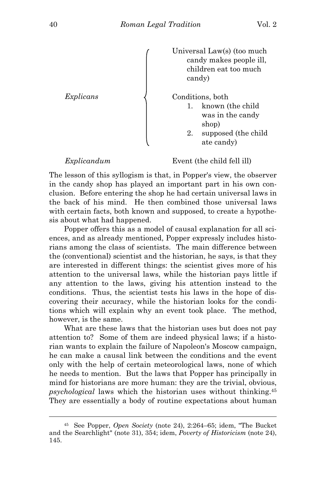

*Explicandum* Event (the child fell ill)

The lesson of this syllogism is that, in Popper's view, the observer in the candy shop has played an important part in his own conclusion. Before entering the shop he had certain universal laws in the back of his mind. He then combined those universal laws with certain facts, both known and supposed, to create a hypothesis about what had happened.

Popper offers this as a model of causal explanation for all sciences, and as already mentioned, Popper expressly includes historians among the class of scientists. The main difference between the (conventional) scientist and the historian, he says, is that they are interested in different things: the scientist gives more of his attention to the universal laws, while the historian pays little if any attention to the laws, giving his attention instead to the conditions. Thus, the scientist tests his laws in the hope of discovering their accuracy, while the historian looks for the conditions which will explain why an event took place. The method, however, is the same.

 What are these laws that the historian uses but does not pay attention to? Some of them are indeed physical laws; if a historian wants to explain the failure of Napoleon's Moscow campaign, he can make a causal link between the conditions and the event only with the help of certain meteorological laws, none of which he needs to mention. But the laws that Popper has principally in mind for historians are more human: they are the trivial, obvious, *psychological* laws which the historian uses without thinking.45 They are essentially a body of routine expectations about human

<sup>45</sup> See Popper, *Open Society* (note 24), 2:264–65; idem, "The Bucket and the Searchlight" (note 31), 354; idem, *Poverty of Historicism* (note 24), 145.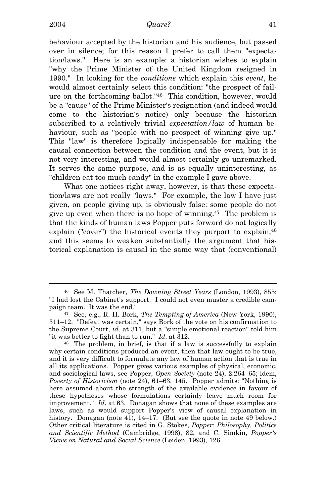i

behaviour accepted by the historian and his audience, but passed over in silence; for this reason I prefer to call them "expectation/laws." Here is an example: a historian wishes to explain "why the Prime Minister of the United Kingdom resigned in 1990." In looking for the *conditions* which explain this *event*, he would almost certainly select this condition: "the prospect of failure on the forthcoming ballot."46 This condition, however, would be a "cause" of the Prime Minister's resignation (and indeed would come to the historian's notice) only because the historian subscribed to a relatively trivial *expectation/law* of human behaviour, such as "people with no prospect of winning give up." This "law" is therefore logically indispensable for making the causal connection between the condition and the event, but it is not very interesting, and would almost certainly go unremarked. It serves the same purpose, and is as equally uninteresting, as "children eat too much candy" in the example I gave above.

What one notices right away, however, is that these expectation/laws are not really "laws." For example, the law I have just given, on people giving up, is obviously false: some people do not give up even when there is no hope of winning.47 The problem is that the kinds of human laws Popper puts forward do not logically explain ("cover") the historical events they purport to explain, <sup>48</sup> and this seems to weaken substantially the argument that historical explanation is causal in the same way that (conventional)

<sup>46</sup> See M. Thatcher, *The Downing Street Years* (London, 1993), 855: "I had lost the Cabinet's support. I could not even muster a credible campaign team. It was the end." 47 See, e.g., R. H. Bork, *The Tempting of America* (New York, 1990),

<sup>311–12. &</sup>quot;Defeat was certain," says Bork of the vote on his confirmation to the Supreme Court, *id*. at 311, but a "simple emotional reaction" told him "it was better to fight than to run."  $Id$ . at 312."" <sup>48</sup> The problem, in brief, is that if a law is successfully to explain

why certain conditions produced an event, then that law ought to be true, and it is very difficult to formulate any law of human action that is true in all its applications. Popper gives various examples of physical, economic, and sociological laws, see Popper, *Open Society* (note 24), 2:264–65; idem, *Poverty of Historicism* (note 24), 61–63, 145. Popper admits: "Nothing is here assumed about the strength of the available evidence in favour of these hypotheses whose formulations certainly leave much room for improvement." *Id*. at 63. Donagan shows that none of these examples are laws, such as would support Popper's view of causal explanation in history. Donagan (note 41), 14–17. (But see the quote in note 49 below.) Other critical literature is cited in G. Stokes, *Popper: Philosophy, Politics and Scientific Method* (Cambridge, 1998), 82, and C. Simkin, *Popper's Views on Natural and Social Science* (Leiden, 1993), 126.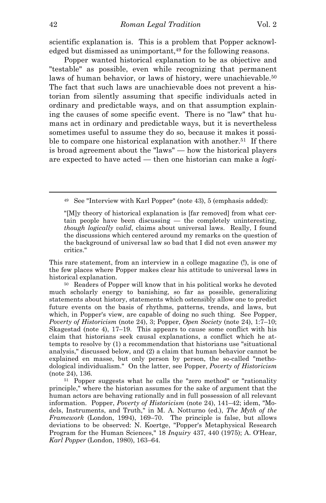scientific explanation is. This is a problem that Popper acknowledged but dismissed as unimportant,<sup>49</sup> for the following reasons.

 Popper wanted historical explanation to be as objective and "testable" as possible, even while recognizing that permanent laws of human behavior, or laws of history, were unachievable.<sup>50</sup> The fact that such laws are unachievable does not prevent a historian from silently assuming that specific individuals acted in ordinary and predictable ways, and on that assumption explaining the causes of some specific event. There is no "law" that humans act in ordinary and predictable ways, but it is nevertheless sometimes useful to assume they do so, because it makes it possible to compare one historical explanation with another.<sup>51</sup> If there is broad agreement about the "laws" — how the historical players are expected to have acted — then one historian can make a *logi-*

This rare statement, from an interview in a college magazine (!), is one of the few places where Popper makes clear his attitude to universal laws in historical explanation.<br><sup>50</sup> Readers of Popper will know that in his political works he devoted

much scholarly energy to banishing, so far as possible, generalizing statements about history, statements which ostensibly allow one to predict future events on the basis of rhythms, patterns, trends, and laws, but which, in Popper's view, are capable of doing no such thing. See Popper, *Poverty of Historicism* (note 24), 3; Popper, *Open Society* (note 24), 1:7–10; Skagestad (note 4), 17–19. This appears to cause some conflict with his claim that historians seek causal explanations, a conflict which he attempts to resolve by (1) a recommendation that historians use "situational analysis," discussed below, and (2) a claim that human behavior cannot be explained en masse, but only person by person, the so-called "methodological individualism." On the latter, see Popper, *Poverty of Historicism* (note 24), 136.  $\frac{51}{10}$  Popper suggests what he calls the "zero method" or "rationality

principle," where the historian assumes for the sake of argument that the human actors are behaving rationally and in full possession of all relevant information. Popper, *Poverty of Historicism* (note 24), 141–42; idem, "Models, Instruments, and Truth," in M. A. Notturno (ed.), *The Myth of the Framework* (London, 1994), 169–70. The principle is false, but allows deviations to be observed: N. Koertge, "Popper's Metaphysical Research Program for the Human Sciences," 18 *Inquiry* 437, 440 (1975); A. O'Hear, *Karl Popper* (London, 1980), 163–64.

<sup>49</sup> See "Interview with Karl Popper" (note 43), 5 (emphasis added):

<sup>&</sup>quot;[M]y theory of historical explanation is [far removed] from what certain people have been discussing — the completely uninteresting, *though logically valid*, claims about universal laws. Really, I found the discussions which centered around my remarks on the question of the background of universal law so bad that I did not even answer my critics."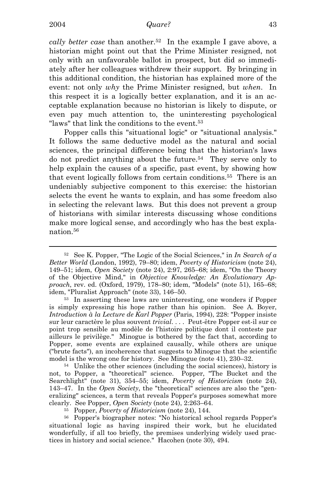*cally better case* than another.<sup>52</sup> In the example I gave above, a historian might point out that the Prime Minister resigned, not only with an unfavorable ballot in prospect, but did so immediately after her colleagues withdrew their support. By bringing in this additional condition, the historian has explained more of the event: not only *why* the Prime Minister resigned, but *when*. In this respect it is a logically better explanation, and it is an acceptable explanation because no historian is likely to dispute, or even pay much attention to, the uninteresting psychological "laws" that link the conditions to the event.<sup>53</sup>

Popper calls this "situational logic" or "situational analysis." It follows the same deductive model as the natural and social sciences, the principal difference being that the historian's laws do not predict anything about the future.54 They serve only to help explain the causes of a specific, past event, by showing how that event logically follows from certain conditions.55 There is an undeniably subjective component to this exercise: the historian selects the event he wants to explain, and has some freedom also in selecting the relevant laws. But this does not prevent a group of historians with similar interests discussing whose conditions make more logical sense, and accordingly who has the best explanation.56

<sup>52</sup> See K. Popper, "The Logic of the Social Sciences," in *In Search of a Better World* (London, 1992), 79–80; idem, *Poverty of Historicism* (note 24), 149–51; idem, *Open Society* (note 24), 2:97, 265–68; idem, "On the Theory of the Objective Mind," in *Objective Knowledge: An Evolutionary Approach*, rev. ed. (Oxford, 1979), 178–80; idem, "Models" (note 51), 165–68; idem, "Pluralist Approach" (note 33), 146–50. 53 In asserting these laws are uninteresting, one wonders if Popper

is simply expressing his hope rather than his opinion. See A. Boyer, *Introduction à la Lecture de Karl Popper* (Paris, 1994), 228: "Popper insiste sur leur caractère le plus souvent *trivial*. . . . Peut-être Popper est-il sur ce point trop sensible au modèle de l'histoire politique dont il conteste par ailleurs le privilège." Minogue is bothered by the fact that, according to Popper, some events are explained causally, while others are unique ("brute facts"), an incoherence that suggests to Minogue that the scientific

model is the wrong one for history. See Minogue (note 41), 230–32. 54 Unlike the other sciences (including the social sciences), history is not, to Popper, a "theoretical" science. Popper, "The Bucket and the Searchlight" (note 31), 354–55; idem, *Poverty of Historicism* (note 24), 143–47. In the *Open Society*, the "theoretical" sciences are also the "generalizing" sciences, a term that reveals Popper's purposes somewhat more

clearly. See Popper, *Open Society* (note 24), 2:263–64. 55 Popper, *Poverty of Historicism* (note 24), 144. 56 Popper's biographer notes: "No historical school regards Popper's situational logic as having inspired their work, but he elucidated wonderfully, if all too briefly, the premises underlying widely used practices in history and social science." Hacohen (note 30), 494.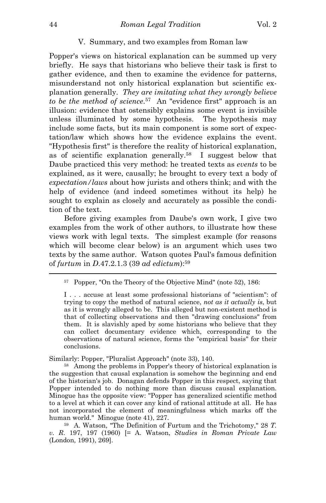# V. Summary, and two examples from Roman law

Popper's views on historical explanation can be summed up very briefly. He says that historians who believe their task is first to gather evidence, and then to examine the evidence for patterns, misunderstand not only historical explanation but scientific explanation generally. *They are imitating what they wrongly believe to be the method of science*. 57 An "evidence first" approach is an illusion: evidence that ostensibly explains some event is invisible unless illuminated by some hypothesis. The hypothesis may include some facts, but its main component is some sort of expectation/law which shows how the evidence explains the event. "Hypothesis first" is therefore the reality of historical explanation, as of scientific explanation generally.58 I suggest below that Daube practiced this very method: he treated texts as *events* to be explained, as it were, causally; he brought to every text a body of *expectation/laws* about how jurists and others think; and with the help of evidence (and indeed sometimes without its help) he sought to explain as closely and accurately as possible the condition of the text.

Before giving examples from Daube's own work, I give two examples from the work of other authors, to illustrate how these views work with legal texts. The simplest example (for reasons which will become clear below) is an argument which uses two texts by the same author. Watson quotes Paul's famous definition of *furtum* in *D*.47.2.1.3 (39 *ad edictum*):59

I . . . accuse at least some professional historians of "scientism": of trying to copy the method of natural science, *not as it actually is*, but as it is wrongly alleged to be. This alleged but non-existent method is that of collecting observations and then "drawing conclusions" from them. It is slavishly aped by some historians who believe that they can collect documentary evidence which, corresponding to the observations of natural science, forms the "empirical basis" for their conclusions.

Similarly: Popper, "Pluralist Approach" (note 33), 140.<br><sup>58</sup> Among the problems in Popper's theory of historical explanation is the suggestion that causal explanation is somehow the beginning and end of the historian's job. Donagan defends Popper in this respect, saying that Popper intended to do nothing more than discuss causal explanation. Minogue has the opposite view: "Popper has generalized scientific method to a level at which it can cover any kind of rational attitude at all. He has not incorporated the element of meaningfulness which marks off the human world." Minogue (note 41), 227. 59 A. Watson, "The Definition of Furtum and the Trichotomy," 28 *T.* 

*v. R*. 197, 197 (1960) [= A. Watson, *Studies in Roman Private Law* (London, 1991), 269].

<sup>57</sup> Popper, "On the Theory of the Objective Mind" (note 52), 186: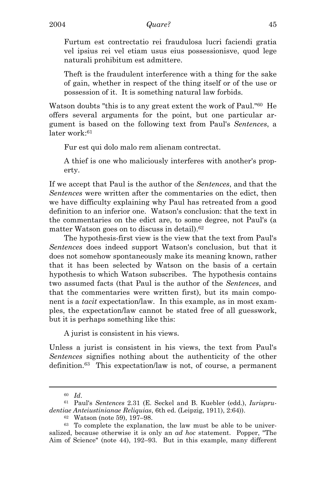Furtum est contrectatio rei fraudulosa lucri faciendi gratia vel ipsius rei vel etiam usus eius possessionisve, quod lege naturali prohibitum est admittere.

Theft is the fraudulent interference with a thing for the sake of gain, whether in respect of the thing itself or of the use or possession of it. It is something natural law forbids.

Watson doubts "this is to any great extent the work of Paul."60 He offers several arguments for the point, but one particular argument is based on the following text from Paul's *Sentences*, a  $later work<sup>.61</sup>$ 

Fur est qui dolo malo rem alienam contrectat.

A thief is one who maliciously interferes with another's property.

If we accept that Paul is the author of the *Sentences*, and that the *Sentences* were written after the commentaries on the edict, then we have difficulty explaining why Paul has retreated from a good definition to an inferior one. Watson's conclusion: that the text in the commentaries on the edict are, to some degree, not Paul's (a matter Watson goes on to discuss in detail).62

 The hypothesis-first view is the view that the text from Paul's *Sentences* does indeed support Watson's conclusion, but that it does not somehow spontaneously make its meaning known, rather that it has been selected by Watson on the basis of a certain hypothesis to which Watson subscribes. The hypothesis contains two assumed facts (that Paul is the author of the *Sentences*, and that the commentaries were written first), but its main component is a *tacit* expectation/law. In this example, as in most examples, the expectation/law cannot be stated free of all guesswork, but it is perhaps something like this:

A jurist is consistent in his views.

Unless a jurist is consistent in his views, the text from Paul's *Sentences* signifies nothing about the authenticity of the other definition.63 This expectation/law is not, of course, a permanent

<sup>60</sup> *Id*. 61 Paul's *Sentences* 2.31 (E. Seckel and B. Kuebler (edd.), *Iurisprudentiae Anteiustinianae Reliquias*, 6th ed. (Leipzig, 1911), 2:64)). 62 Watson (note 59), 197–98.

<sup>63</sup> To complete the explanation, the law must be able to be universalized, because otherwise it is only an *ad hoc* statement. Popper, "The Aim of Science" (note 44), 192–93. But in this example, many different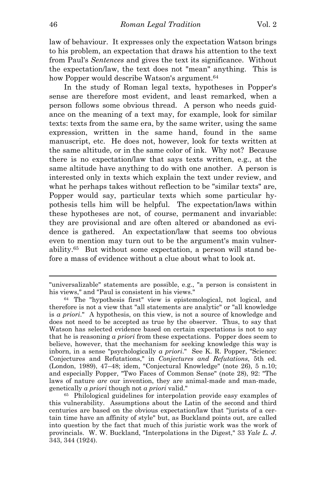law of behaviour. It expresses only the expectation Watson brings to his problem, an expectation that draws his attention to the text from Paul's *Sentences* and gives the text its significance. Without the expectation/law, the text does not "mean" anything. This is how Popper would describe Watson's argument.<sup>64</sup>

In the study of Roman legal texts, hypotheses in Popper's sense are therefore most evident, and least remarked, when a person follows some obvious thread. A person who needs guidance on the meaning of a text may, for example, look for similar texts: texts from the same era, by the same writer, using the same expression, written in the same hand, found in the same manuscript, etc. He does not, however, look for texts written at the same altitude, or in the same color of ink. Why not? Because there is no expectation/law that says texts written, e.g., at the same altitude have anything to do with one another. A person is interested only in texts which explain the text under review, and what he perhaps takes without reflection to be "similar texts" are, Popper would say, particular texts which some particular hypothesis tells him will be helpful. The expectation/laws within these hypotheses are not, of course, permanent and invariable: they are provisional and are often altered or abandoned as evidence is gathered. An expectation/law that seems too obvious even to mention may turn out to be the argument's main vulnerability.65 But without some expectation, a person will stand before a mass of evidence without a clue about what to look at.

<sup>&</sup>quot;universalizable" statements are possible, e.g., "a person is consistent in his views," and "Paul is consistent in his views."<br><sup>64</sup> The "hypothesis first" view is epistemological, not logical, and

therefore is not a view that "all statements are analytic" or "all knowledge is *a priori*." A hypothesis, on this view, is not a source of knowledge and does not need to be accepted as true by the observer. Thus, to say that Watson has selected evidence based on certain expectations is not to say that he is reasoning *a priori* from these expectations. Popper does seem to believe, however, that the mechanism for seeking knowledge this way is inborn, in a sense "psychologically *a priori*." See K. R. Popper, "Science: Conjectures and Refutations," in *Conjectures and Refutations*, 5th ed. (London, 1989), 47–48; idem, "Conjectural Knowledge" (note 26), 5 n.10; and especially Popper, "Two Faces of Common Sense" (note 28), 92: "The laws of nature *are* our invention, they are animal-made and man-made, genetically *a priori* though not *a priori* valid." 65 Philological guidelines for interpolation provide easy examples of

this vulnerability. Assumptions about the Latin of the second and third centuries are based on the obvious expectation/law that "jurists of a certain time have an affinity of style" but, as Buckland points out, are called into question by the fact that much of this juristic work was the work of provincials. W. W. Buckland, "Interpolations in the Digest," 33 *Yale L. J*. 343, 344 (1924).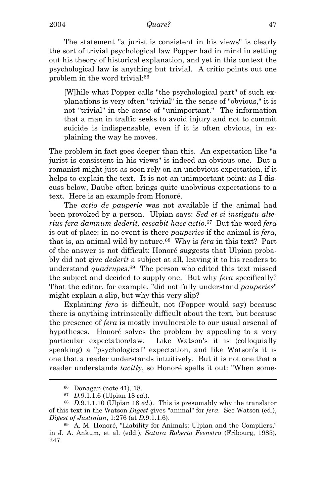The statement "a jurist is consistent in his views" is clearly the sort of trivial psychological law Popper had in mind in setting out his theory of historical explanation, and yet in this context the psychological law is anything but trivial. A critic points out one problem in the word trivial:66

[W]hile what Popper calls "the psychological part" of such explanations is very often "trivial" in the sense of "obvious," it is not "trivial" in the sense of "unimportant." The information that a man in traffic seeks to avoid injury and not to commit suicide is indispensable, even if it is often obvious, in explaining the way he moves.

The problem in fact goes deeper than this. An expectation like "a jurist is consistent in his views" is indeed an obvious one. But a romanist might just as soon rely on an unobvious expectation, if it helps to explain the text. It is not an unimportant point: as I discuss below, Daube often brings quite unobvious expectations to a text. Here is an example from Honoré.

The *actio de pauperie* was not available if the animal had been provoked by a person. Ulpian says: *Sed et si instigatu alterius fera damnum dederit, cessabit haec actio*. 67 But the word *fera* is out of place: in no event is there *pauperies* if the animal is *fera*, that is, an animal wild by nature.68 Why is *fera* in this text? Part of the answer is not difficult: Honoré suggests that Ulpian probably did not give *dederit* a subject at all, leaving it to his readers to understand *quadrupes*.69 The person who edited this text missed the subject and decided to supply one. But why *fera* specifically? That the editor, for example, "did not fully understand *pauperies*" might explain a slip, but why this very slip?

Explaining *fera* is difficult, not (Popper would say) because there is anything intrinsically difficult about the text, but because the presence of *fera* is mostly invulnerable to our usual arsenal of hypotheses. Honoré solves the problem by appealing to a very particular expectation/law. Like Watson's it is (colloquially speaking) a "psychological" expectation, and like Watson's it is one that a reader understands intuitively. But it is not one that a reader understands *tacitly*, so Honoré spells it out: "When some-

<sup>66</sup> Donagan (note 41), 18.

<sup>&</sup>lt;sup>67</sup> *D.*9.1.1.6 (Ulpian 18 *ed.*). This is presumably why the translator  $D.9.1.1.10$  (Ulpian 18 *ed.*). This is presumably why the translator of this text in the Watson *Digest* gives "animal" for *fera*. See Watson (ed.), *Digest of Justinian*, 1:276 (at *D.9.1.1.6)*. <sup>69</sup> A. M. Honoré, "Liability for Animals: Ulpian and the Compilers,"

in J. A. Ankum, et al. (edd.), *Satura Roberto Feenstra* (Fribourg, 1985), 247.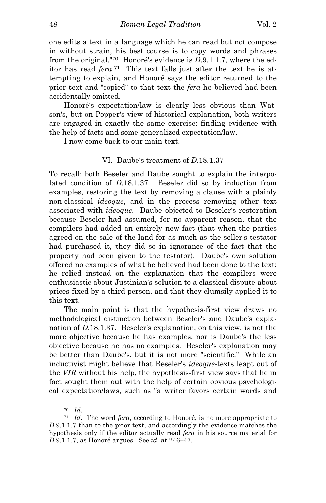one edits a text in a language which he can read but not compose in without strain, his best course is to copy words and phrases from the original."70 Honoré's evidence is *D*.9.1.1.7, where the editor has read *fera*.71 This text falls just after the text he is attempting to explain, and Honoré says the editor returned to the prior text and "copied" to that text the *fera* he believed had been accidentally omitted.

 Honoré's expectation/law is clearly less obvious than Watson's, but on Popper's view of historical explanation, both writers are engaged in exactly the same exercise: finding evidence with the help of facts and some generalized expectation/law.

I now come back to our main text.

# VI. Daube's treatment of *D*.18.1.37

To recall: both Beseler and Daube sought to explain the interpolated condition of *D*.18.1.37. Beseler did so by induction from examples, restoring the text by removing a clause with a plainly non-classical *ideoque*, and in the process removing other text associated with *ideoque*. Daube objected to Beseler's restoration because Beseler had assumed, for no apparent reason, that the compilers had added an entirely new fact (that when the parties agreed on the sale of the land for as much as the seller's testator had purchased it, they did so in ignorance of the fact that the property had been given to the testator). Daube's own solution offered no examples of what he believed had been done to the text; he relied instead on the explanation that the compilers were enthusiastic about Justinian's solution to a classical dispute about prices fixed by a third person, and that they clumsily applied it to this text.

The main point is that the hypothesis-first view draws no methodological distinction between Beseler's and Daube's explanation of *D*.18.1.37. Beseler's explanation, on this view, is not the more objective because he has examples, nor is Daube's the less objective because he has no examples. Beseler's explanation may be better than Daube's, but it is not more "scientific." While an inductivist might believe that Beseler's *ideoque*-texts leapt out of the *VIR* without his help, the hypothesis-first view says that he in fact sought them out with the help of certain obvious psychological expectation/laws, such as "a writer favors certain words and

<sup>70</sup> *Id*. 71 *Id*. The word *fera*, according to Honoré, is no more appropriate to *D*.9.1.1.7 than to the prior text, and accordingly the evidence matches the hypothesis only if the editor actually read *fera* in his source material for *D*.9.1.1.7, as Honoré argues. See *id*. at 246–47.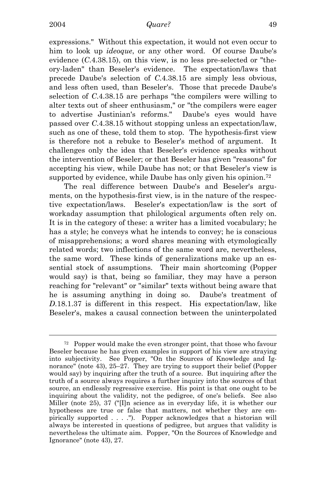expressions." Without this expectation, it would not even occur to him to look up *ideoque*, or any other word. Of course Daube's evidence (*C*.4.38.15), on this view, is no less pre-selected or "theory-laden" than Beseler's evidence. The expectation/laws that precede Daube's selection of *C*.4.38.15 are simply less obvious, and less often used, than Beseler's. Those that precede Daube's selection of *C*.4.38.15 are perhaps "the compilers were willing to alter texts out of sheer enthusiasm," or "the compilers were eager to advertise Justinian's reforms." Daube's eyes would have passed over *C*.4.38.15 without stopping unless an expectation/law, such as one of these, told them to stop. The hypothesis-first view is therefore not a rebuke to Beseler's method of argument. It challenges only the idea that Beseler's evidence speaks without the intervention of Beseler; or that Beseler has given "reasons" for accepting his view, while Daube has not; or that Beseler's view is supported by evidence, while Daube has only given his opinion.<sup>72</sup>

 The real difference between Daube's and Beseler's arguments, on the hypothesis-first view, is in the nature of the respective expectation/laws. Beseler's expectation/law is the sort of workaday assumption that philological arguments often rely on. It is in the category of these: a writer has a limited vocabulary; he has a style; he conveys what he intends to convey; he is conscious of misapprehensions; a word shares meaning with etymologically related words; two inflections of the same word are, nevertheless, the same word. These kinds of generalizations make up an essential stock of assumptions. Their main shortcoming (Popper would say) is that, being so familiar, they may have a person reaching for "relevant" or "similar" texts without being aware that he is assuming anything in doing so. Daube's treatment of *D*.18.1.37 is different in this respect. His expectation/law, like Beseler's, makes a causal connection between the uninterpolated

i 72 Popper would make the even stronger point, that those who favour Beseler because he has given examples in support of his view are straying into subjectivity. See Popper, "On the Sources of Knowledge and Ignorance" (note 43), 25–27. They are trying to support their belief (Popper would say) by inquiring after the truth of a source. But inquiring after the truth of a source always requires a further inquiry into the sources of that source, an endlessly regressive exercise. His point is that one ought to be inquiring about the validity, not the pedigree, of one's beliefs. See also Miller (note 25), 37 ("[I]n science as in everyday life, it is whether our hypotheses are true or false that matters, not whether they are empirically supported . . . ."). Popper acknowledges that a historian will always be interested in questions of pedigree, but argues that validity is nevertheless the ultimate aim. Popper, "On the Sources of Knowledge and Ignorance" (note 43), 27.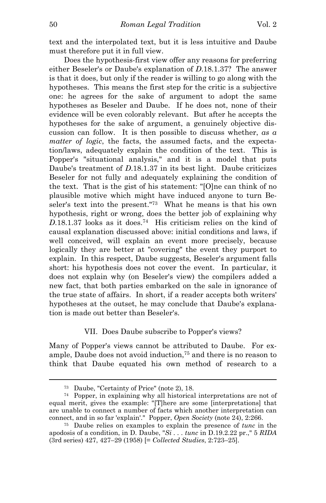text and the interpolated text, but it is less intuitive and Daube must therefore put it in full view.

 Does the hypothesis-first view offer any reasons for preferring either Beseler's or Daube's explanation of *D*.18.1.37? The answer is that it does, but only if the reader is willing to go along with the hypotheses. This means the first step for the critic is a subjective one: he agrees for the sake of argument to adopt the same hypotheses as Beseler and Daube. If he does not, none of their evidence will be even colorably relevant. But after he accepts the hypotheses for the sake of argument, a genuinely objective discussion can follow. It is then possible to discuss whether, *as a matter of logic*, the facts, the assumed facts, and the expectation/laws, adequately explain the condition of the text. This is Popper's "situational analysis," and it is a model that puts Daube's treatment of *D*.18.1.37 in its best light. Daube criticizes Beseler for not fully and adequately explaining the condition of the text. That is the gist of his statement: "[O]ne can think of no plausible motive which might have induced anyone to turn Beseler's text into the present."73 What he means is that his own hypothesis, right or wrong, does the better job of explaining why *D*.18.1.37 looks as it does.74 His criticism relies on the kind of causal explanation discussed above: initial conditions and laws, if well conceived, will explain an event more precisely, because logically they are better at "covering" the event they purport to explain. In this respect, Daube suggests, Beseler's argument falls short: his hypothesis does not cover the event. In particular, it does not explain why (on Beseler's view) the compilers added a new fact, that both parties embarked on the sale in ignorance of the true state of affairs. In short, if a reader accepts both writers' hypotheses at the outset, he may conclude that Daube's explanation is made out better than Beseler's.

# VII. Does Daube subscribe to Popper's views?

Many of Popper's views cannot be attributed to Daube. For example, Daube does not avoid induction,75 and there is no reason to think that Daube equated his own method of research to a

<sup>73</sup> Daube, "Certainty of Price" (note 2), 18.

<sup>74</sup> Popper, in explaining why all historical interpretations are not of equal merit, gives the example: "[T]here are some [interpretations] that are unable to connect a number of facts which another interpretation can connect, and in so far 'explain'." Popper, *Open Society* (note 24), 2:266. 75 Daube relies on examples to explain the presence of *tunc* in the

apodosis of a condition, in D. Daube, "*Si . . . tunc* in D.19.2.22 pr.," 5 *RIDA* (3rd series) 427, 427–29 (1958) [= *Collected Studies*, 2:723–25].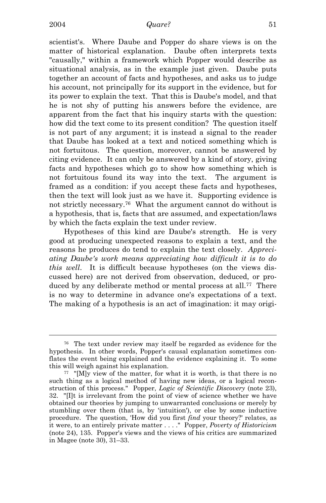scientist's. Where Daube and Popper do share views is on the matter of historical explanation. Daube often interprets texts "causally," within a framework which Popper would describe as situational analysis, as in the example just given. Daube puts together an account of facts and hypotheses, and asks us to judge his account, not principally for its support in the evidence, but for its power to explain the text. That this is Daube's model, and that he is not shy of putting his answers before the evidence, are apparent from the fact that his inquiry starts with the question: how did the text come to its present condition? The question itself is not part of any argument; it is instead a signal to the reader that Daube has looked at a text and noticed something which is not fortuitous. The question, moreover, cannot be answered by citing evidence. It can only be answered by a kind of story, giving facts and hypotheses which go to show how something which is not fortuitous found its way into the text. The argument is framed as a condition: if you accept these facts and hypotheses, then the text will look just as we have it. Supporting evidence is not strictly necessary.76 What the argument cannot do without is a hypothesis, that is, facts that are assumed, and expectation/laws by which the facts explain the text under review.

 Hypotheses of this kind are Daube's strength. He is very good at producing unexpected reasons to explain a text, and the reasons he produces do tend to explain the text closely. *Appreciating Daube's work means appreciating how difficult it is to do this well*. It is difficult because hypotheses (on the views discussed here) are not derived from observation, deduced, or produced by any deliberate method or mental process at all.<sup>77</sup> There is no way to determine in advance one's expectations of a text. The making of a hypothesis is an act of imagination: it may origi-

<sup>76</sup> The text under review may itself be regarded as evidence for the hypothesis. In other words, Popper's causal explanation sometimes conflates the event being explained and the evidence explaining it. To some this will weigh against his explanation.<br><sup>77</sup> "[M]y view of the matter, for what it is worth, is that there is no

such thing as a logical method of having new ideas, or a logical reconstruction of this process." Popper, *Logic of Scientific Discovery* (note 23), 32. "[I]t is irrelevant from the point of view of science whether we have obtained our theories by jumping to unwarranted conclusions or merely by stumbling over them (that is, by 'intuition'), or else by some inductive procedure. The question, 'How did you first *find* your theory?' relates, as it were, to an entirely private matter . . . ." Popper, *Poverty of Historicism* (note 24), 135. Popper's views and the views of his critics are summarized in Magee (note 30), 31–33.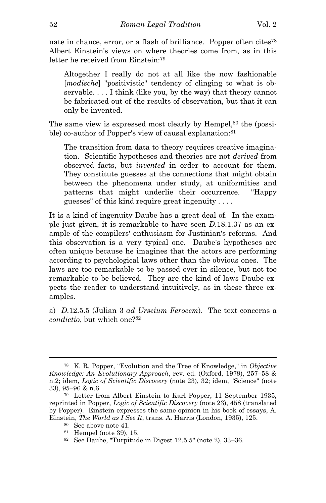nate in chance, error, or a flash of brilliance. Popper often cites<sup>78</sup> Albert Einstein's views on where theories come from, as in this letter he received from Einstein:79

Altogether I really do not at all like the now fashionable [*modische*] "positivistic" tendency of clinging to what is observable. . . . I think (like you, by the way) that theory cannot be fabricated out of the results of observation, but that it can only be invented.

The same view is expressed most clearly by Hempel,<sup>80</sup> the (possible) co-author of Popper's view of causal explanation:<sup>81</sup>

The transition from data to theory requires creative imagination. Scientific hypotheses and theories are not *derived* from observed facts, but *invented* in order to account for them. They constitute guesses at the connections that might obtain between the phenomena under study, at uniformities and patterns that might underlie their occurrence. "Happy guesses" of this kind require great ingenuity . . . .

It is a kind of ingenuity Daube has a great deal of. In the example just given, it is remarkable to have seen *D*.18.1.37 as an example of the compilers' enthusiasm for Justinian's reforms. And this observation is a very typical one. Daube's hypotheses are often unique because he imagines that the actors are performing according to psychological laws other than the obvious ones. The laws are too remarkable to be passed over in silence, but not too remarkable to be believed. They are the kind of laws Daube expects the reader to understand intuitively, as in these three examples.

a) *D*.12.5.5 (Julian 3 *ad Urseium Ferocem*). The text concerns a *condictio*, but which one?82

<sup>78</sup> K. R. Popper, "Evolution and the Tree of Knowledge," in *Objective Knowledge: An Evolutionary Approach*, rev. ed. (Oxford, 1979), 257–58 & n.2; idem, *Logic of Scientific Discovery* (note 23), 32; idem, "Science" (note 33), 95–96 & n.6 79 Letter from Albert Einstein to Karl Popper, 11 September 1935,

reprinted in Popper, *Logic of Scientific Discovery* (note 23), 458 (translated by Popper). Einstein expresses the same opinion in his book of essays, A. Einstein, *The World as I See It*, trans. A. Harris (London, 1935), 125. 80 See above note 41.

<sup>81</sup> Hempel (note 39), 15.

<sup>82</sup> See Daube, "Turpitude in Digest 12.5.5" (note 2), 33–36.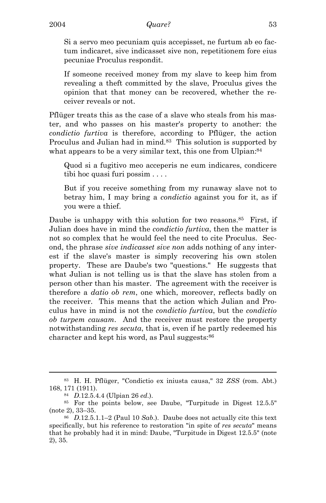Si a servo meo pecuniam quis accepisset, ne furtum ab eo factum indicaret, sive indicasset sive non, repetitionem fore eius pecuniae Proculus respondit.

If someone received money from my slave to keep him from revealing a theft committed by the slave, Proculus gives the opinion that that money can be recovered, whether the receiver reveals or not.

Pflüger treats this as the case of a slave who steals from his master, and who passes on his master's property to another: the *condictio furtiva* is therefore, according to Pflüger, the action Proculus and Julian had in mind.<sup>83</sup> This solution is supported by what appears to be a very similar text, this one from Ulpian:<sup>84</sup>

Quod si a fugitivo meo acceperis ne eum indicares, condicere tibi hoc quasi furi possim . . . .

But if you receive something from my runaway slave not to betray him, I may bring a *condictio* against you for it, as if you were a thief.

Daube is unhappy with this solution for two reasons.<sup>85</sup> First, if Julian does have in mind the *condictio furtiva*, then the matter is not so complex that he would feel the need to cite Proculus. Second, the phrase *sive indicasset sive non* adds nothing of any interest if the slave's master is simply recovering his own stolen property. These are Daube's two "questions." He suggests that what Julian is not telling us is that the slave has stolen from a person other than his master. The agreement with the receiver is therefore a *datio ob rem*, one which, moreover, reflects badly on the receiver. This means that the action which Julian and Proculus have in mind is not the *condictio furtiva*, but the *condictio ob turpem causam*. And the receiver must restore the property notwithstanding *res secuta*, that is, even if he partly redeemed his character and kept his word, as Paul suggests:86

<sup>83</sup> H. H. Pflüger, "Condictio ex iniusta causa," 32 *ZSS* (rom. Abt.) 168, 171 (1911). 84 *<sup>D</sup>*.12.5.4.4 (Ulpian 26 *ed*.). 85 For the points below, see Daube, "Turpitude in Digest 12.5.5"

<sup>(</sup>note 2),  $33-35$ .<br><sup>86</sup> *D.*12.5.1.1–2 (Paul 10 *Sab*.). Daube does not actually cite this text

specifically, but his reference to restoration "in spite of *res secuta*" means that he probably had it in mind: Daube, "Turpitude in Digest 12.5.5" (note 2), 35.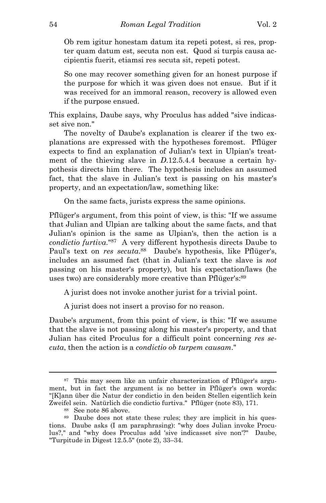Ob rem igitur honestam datum ita repeti potest, si res, propter quam datum est, secuta non est. Quod si turpis causa accipientis fuerit, etiamsi res secuta sit, repeti potest.

So one may recover something given for an honest purpose if the purpose for which it was given does not ensue. But if it was received for an immoral reason, recovery is allowed even if the purpose ensued.

This explains, Daube says, why Proculus has added "sive indicasset sive non."

The novelty of Daube's explanation is clearer if the two explanations are expressed with the hypotheses foremost. Pflüger expects to find an explanation of Julian's text in Ulpian's treatment of the thieving slave in *D*.12.5.4.4 because a certain hypothesis directs him there. The hypothesis includes an assumed fact, that the slave in Julian's text is passing on his master's property, and an expectation/law, something like:

On the same facts, jurists express the same opinions.

Pflüger's argument, from this point of view, is this: "If we assume that Julian and Ulpian are talking about the same facts, and that Julian's opinion is the same as Ulpian's, then the action is a *condictio furtiva*."87 A very different hypothesis directs Daube to Paul's text on *res secuta*. 88 Daube's hypothesis, like Pflüger's, includes an assumed fact (that in Julian's text the slave is *not* passing on his master's property), but his expectation/laws (he uses two) are considerably more creative than Pflüger's:<sup>89</sup>

A jurist does not invoke another jurist for a trivial point.

A jurist does not insert a proviso for no reason.

Daube's argument, from this point of view, is this: "If we assume that the slave is not passing along his master's property, and that Julian has cited Proculus for a difficult point concerning *res secuta*, then the action is a *condictio ob turpem causam*."

<sup>87</sup> This may seem like an unfair characterization of Pflüger's argument, but in fact the argument is no better in Pflüger's own words: "[K]ann über die Natur der condictio in den beiden Stellen eigentlich kein Zweifel sein. Natürlich die condictio furtiva." Pflüger (note 83), 171. 88 See note 86 above.

<sup>89</sup> Daube does not state these rules; they are implicit in his questions. Daube asks (I am paraphrasing): "why does Julian invoke Proculus?," and "why does Proculus add 'sive indicasset sive non'?" Daube, "Turpitude in Digest 12.5.5" (note 2), 33–34.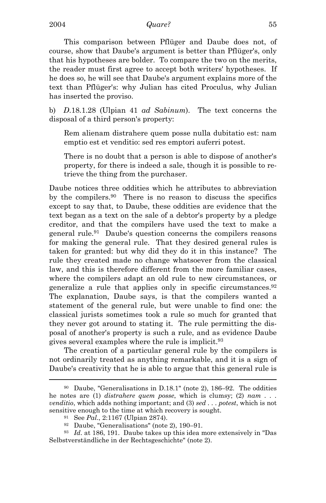This comparison between Pflüger and Daube does not, of course, show that Daube's argument is better than Pflüger's, only that his hypotheses are bolder. To compare the two on the merits, the reader must first agree to accept both writers' hypotheses. If he does so, he will see that Daube's argument explains more of the text than Pflüger's: why Julian has cited Proculus, why Julian has inserted the proviso.

b) *D*.18.1.28 (Ulpian 41 *ad Sabinum*). The text concerns the disposal of a third person's property:

Rem alienam distrahere quem posse nulla dubitatio est: nam emptio est et venditio: sed res emptori auferri potest.

There is no doubt that a person is able to dispose of another's property, for there is indeed a sale, though it is possible to retrieve the thing from the purchaser.

Daube notices three oddities which he attributes to abbreviation by the compilers.90 There is no reason to discuss the specifics except to say that, to Daube, these oddities are evidence that the text began as a text on the sale of a debtor's property by a pledge creditor, and that the compilers have used the text to make a general rule.91 Daube's question concerns the compilers reasons for making the general rule. That they desired general rules is taken for granted: but why did they do it in this instance? The rule they created made no change whatsoever from the classical law, and this is therefore different from the more familiar cases, where the compilers adapt an old rule to new circumstances, or generalize a rule that applies only in specific circumstances.92 The explanation, Daube says, is that the compilers wanted a statement of the general rule, but were unable to find one: the classical jurists sometimes took a rule so much for granted that they never got around to stating it. The rule permitting the disposal of another's property is such a rule, and as evidence Daube gives several examples where the rule is implicit.93

The creation of a particular general rule by the compilers is not ordinarily treated as anything remarkable, and it is a sign of Daube's creativity that he is able to argue that this general rule is

<sup>90</sup> Daube, "Generalisations in D.18.1" (note 2), 186–92. The oddities he notes are (1) *distrahere quem posse*, which is clumsy; (2) *nam . . . venditio*, which adds nothing important; and (3) *sed . . . potest*, which is not sensitive enough to the time at which recovery is sought.<br><sup>91</sup> See *Pal.*, 2:1167 (Ulpian 2874).<br><sup>92</sup> Daube, "Generalisations" (note 2), 190–91.

<sup>93</sup> *Id*. at 186, 191. Daube takes up this idea more extensively in "Das Selbstverständliche in der Rechtsgeschichte" (note 2).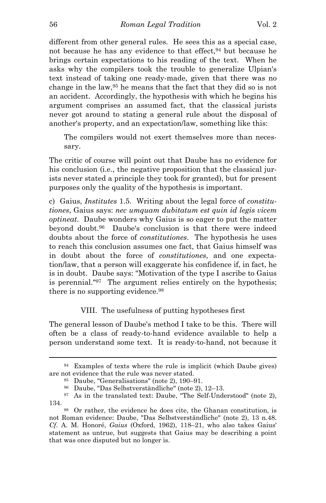different from other general rules. He sees this as a special case, not because he has any evidence to that effect,<sup>94</sup> but because he brings certain expectations to his reading of the text. When he asks why the compilers took the trouble to generalize Ulpian's text instead of taking one ready-made, given that there was no change in the law,95 he means that the fact that they did so is not an accident. Accordingly, the hypothesis with which he begins his argument comprises an assumed fact, that the classical jurists never got around to stating a general rule about the disposal of another's property, and an expectation/law, something like this:

The compilers would not exert themselves more than necessary.

The critic of course will point out that Daube has no evidence for his conclusion (i.e., the negative proposition that the classical jurists never stated a principle they took for granted), but for present purposes only the quality of the hypothesis is important.

c) Gaius, *Institutes* 1.5. Writing about the legal force of *constitutiones*, Gaius says: *nec umquam dubitatum est quin id legis vicem optineat*. Daube wonders why Gaius is so eager to put the matter beyond doubt.96 Daube's conclusion is that there were indeed doubts about the force of *constitutiones*. The hypothesis he uses to reach this conclusion assumes one fact, that Gaius himself was in doubt about the force of *constitutiones*, and one expectation/law, that a person will exaggerate his confidence if, in fact, he is in doubt. Daube says: "Motivation of the type I ascribe to Gaius is perennial."97 The argument relies entirely on the hypothesis; there is no supporting evidence.<sup>98</sup>

VIII. The usefulness of putting hypotheses first

The general lesson of Daube's method I take to be this. There will often be a class of ready-to-hand evidence available to help a person understand some text. It is ready-to-hand, not because it

<sup>94</sup> Examples of texts where the rule is implicit (which Daube gives) are not evidence that the rule was never stated. 95 Daube, "Generalisations" (note 2), 190–91.

<sup>96</sup> Daube, "Das Selbstverständliche" (note 2), 12–13.

<sup>97</sup> As in the translated text: Daube, "The Self-Understood" (note 2), 134. 98 Or rather, the evidence he does cite, the Ghanan constitution, is

not Roman evidence: Daube, "Das Selbstverständliche" (note 2), 13 n.48. *Cf*. A. M. Honoré, *Gaius* (Oxford, 1962), 118–21, who also takes Gaius' statement as untrue, but suggests that Gaius may be describing a point that was once disputed but no longer is.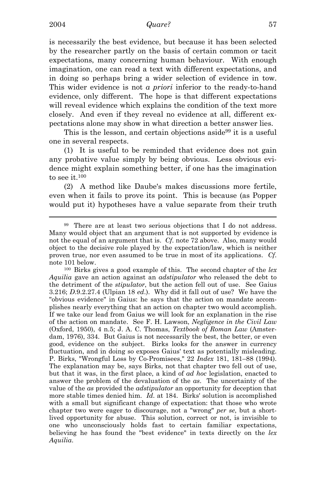i

is necessarily the best evidence, but because it has been selected by the researcher partly on the basis of certain common or tacit expectations, many concerning human behaviour. With enough imagination, one can read a text with different expectations, and in doing so perhaps bring a wider selection of evidence in tow. This wider evidence is not *a priori* inferior to the ready-to-hand evidence, only different. The hope is that different expectations will reveal evidence which explains the condition of the text more closely. And even if they reveal no evidence at all, different expectations alone may show in what direction a better answer lies.

This is the lesson, and certain objections aside<sup>99</sup> it is a useful one in several respects.

(1) It is useful to be reminded that evidence does not gain any probative value simply by being obvious. Less obvious evidence might explain something better, if one has the imagination to see it.100

 (2) A method like Daube's makes discussions more fertile, even when it fails to prove its point. This is because (as Popper would put it) hypotheses have a value separate from their truth

note 101 below.<br><sup>100</sup> Birks gives a good example of this. The second chapter of the *lex Aquilia* gave an action against an *adstipulator* who released the debt to the detriment of the *stipulator*, but the action fell out of use. See Gaius 3.216; *D*.9.2.27.4 (Ulpian 18 *ed*.). Why did it fall out of use? We have the "obvious evidence" in Gaius: he says that the action on mandate accomplishes nearly everything that an action on chapter two would accomplish. If we take our lead from Gaius we will look for an explanation in the rise of the action on mandate. See F. H. Lawson, *Negligence in the Civil Law* (Oxford, 1950), 4 n.5; J. A. C. Thomas, *Textbook of Roman Law* (Amsterdam, 1976), 334. But Gaius is not necessarily the best, the better, or even good, evidence on the subject. Birks looks for the answer in currency fluctuation, and in doing so exposes Gaius' text as potentially misleading. P. Birks, "Wrongful Loss by Co-Promisees," 22 *Index* 181, 181–88 (1994). The explanation may be, says Birks, not that chapter two fell out of use, but that it was, in the first place, a kind of *ad hoc* legislation, enacted to answer the problem of the devaluation of the *as*. The uncertainty of the value of the *as* provided the *adstipulator* an opportunity for deception that more stable times denied him. *Id*. at 184. Birks' solution is accomplished with a small but significant change of expectation: that those who wrote chapter two were eager to discourage, not a "wrong" *per se*, but a shortlived opportunity for abuse. This solution, correct or not, is invisible to one who unconsciously holds fast to certain familiar expectations, believing he has found the "best evidence" in texts directly on the *lex Aquilia*.

<sup>99</sup> There are at least two serious objections that I do not address. Many would object that an argument that is not supported by evidence is not the equal of an argument that is. *Cf*. note 72 above. Also, many would object to the decisive role played by the expectation/law, which is neither proven true, nor even assumed to be true in most of its applications. *Cf*.